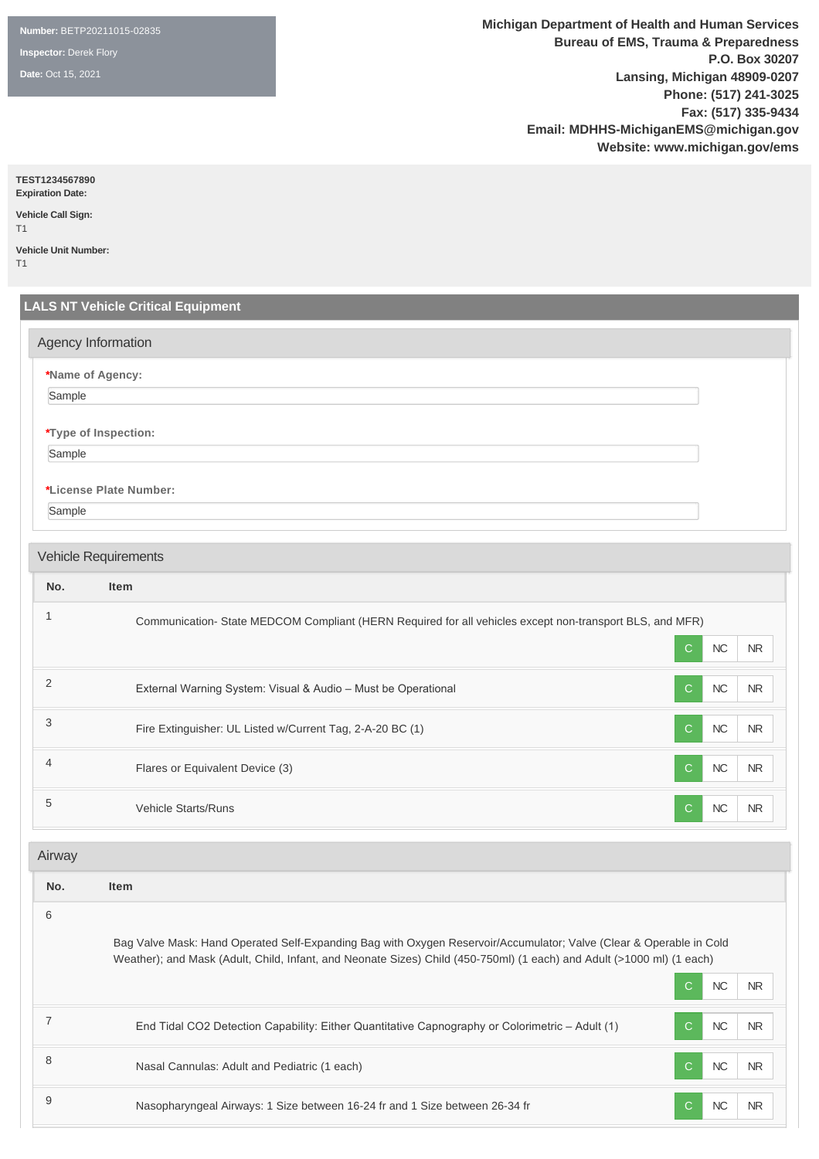**Number:** BETP20211015-02835

**Inspector:** Derek Flory

**Date:** Oct 15, 2021

**Michigan Department of Health and Human Services Bureau of EMS, Trauma & Preparedness P.O. Box 30207 Lansing, Michigan 48909-0207 Phone: (517) 241-3025 Fax: (517) 335-9434 Email: MDHHS-MichiganEMS@michigan.gov Website: www.michigan.gov/ems**

**TEST1234567890**

**Expiration Date: Vehicle Call Sign:** 

T1 **Vehicle Unit Number:** 

T1

# **LALS NT Vehicle Critical Equipment \*Name of Agency:** Sample **\*Type of Inspection:** Sample **\*License Plate Number:** Sample **No. Item** <sup>1</sup> Communication- State MEDCOM Compliant (HERN Required for all vehicles except non-transport BLS, and MFR) C NC NR 2 External Warning System: Visual & Audio – Must be Operational C NC NR 3 Fire Extinguisher: UL Listed w/Current Tag, 2-A-20 BC (1) C NC NR 4 **Flares or Equivalent Device (3)** C NC NR 5 Vehicle Starts/Runs C NC NR Agency Information Vehicle Requirements Airway

**No. Item** 6 Bag Valve Mask: Hand Operated Self-Expanding Bag with Oxygen Reservoir/Accumulator; Valve (Clear & Operable in Cold Weather); and Mask (Adult, Child, Infant, and Neonate Sizes) Child (450-750ml) (1 each) and Adult (>1000 ml) (1 each) C NC NR 7 End Tidal CO2 Detection Capability: Either Quantitative Capnography or Colorimetric – Adult (1) C NC NR 8 Nasal Cannulas: Adult and Pediatric (1 each) New York Contract Contract Contract Contract NR 9 Nasopharyngeal Airways: 1 Size between 16-24 fr and 1 Size between 26-34 fr C NC NC NR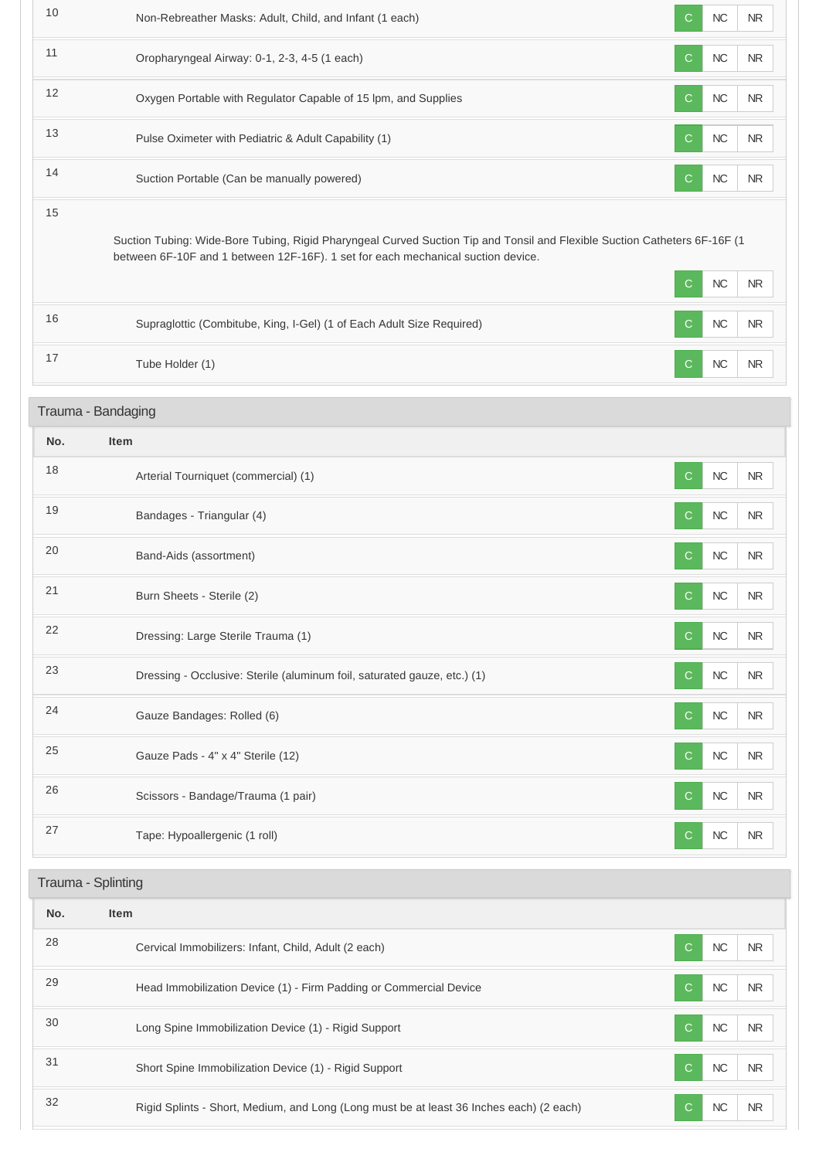| 10  | Non-Rebreather Masks: Adult, Child, and Infant (1 each)                                                                                                                                                       | $\mathsf{C}$ | <b>NC</b> | <b>NR</b>  |
|-----|---------------------------------------------------------------------------------------------------------------------------------------------------------------------------------------------------------------|--------------|-----------|------------|
| 11  | Oropharyngeal Airway: 0-1, 2-3, 4-5 (1 each)                                                                                                                                                                  | C            | $NC$      | <b>NR</b>  |
| 12  | Oxygen Portable with Regulator Capable of 15 lpm, and Supplies                                                                                                                                                | $\mathsf{C}$ | $NC$      | <b>NR</b>  |
| 13  | Pulse Oximeter with Pediatric & Adult Capability (1)                                                                                                                                                          | $\mathsf{C}$ | $NC$      | <b>NR</b>  |
| 14  | Suction Portable (Can be manually powered)                                                                                                                                                                    | C            | $NC$      | <b>NR</b>  |
| 15  | Suction Tubing: Wide-Bore Tubing, Rigid Pharyngeal Curved Suction Tip and Tonsil and Flexible Suction Catheters 6F-16F (1<br>between 6F-10F and 1 between 12F-16F). 1 set for each mechanical suction device. |              |           |            |
|     |                                                                                                                                                                                                               | C            | $NC$      | <b>NR</b>  |
| 16  | Supraglottic (Combitube, King, I-Gel) (1 of Each Adult Size Required)                                                                                                                                         | $\mathbf C$  | NC        | $\sf NR$   |
| 17  | Tube Holder (1)                                                                                                                                                                                               | C            | NC        | ${\sf NR}$ |
|     | Trauma - Bandaging                                                                                                                                                                                            |              |           |            |
| No. | <b>Item</b>                                                                                                                                                                                                   |              |           |            |
| 18  | Arterial Tourniquet (commercial) (1)                                                                                                                                                                          | C            | NC        | NR.        |
| 19  | Bandages - Triangular (4)                                                                                                                                                                                     | $\mathsf{C}$ | $NC$      | <b>NR</b>  |
| 20  | Band-Aids (assortment)                                                                                                                                                                                        | $\mathsf{C}$ | NC        | NR         |
| 21  | Burn Sheets - Sterile (2)                                                                                                                                                                                     | С            | NC        | <b>NR</b>  |
| 22  | Dressing: Large Sterile Trauma (1)                                                                                                                                                                            | $\mathsf{C}$ | NC        | NR         |
| 23  | Dressing - Occlusive: Sterile (aluminum foil, saturated gauze, etc.) (1)                                                                                                                                      | C            | $NC$      | <b>NR</b>  |
| 24  | Gauze Bandages: Rolled (6)                                                                                                                                                                                    | C            | $NC$      | <b>NR</b>  |
| 25  | Gauze Pads - 4" x 4" Sterile (12)                                                                                                                                                                             | C            | $NC$      | $\sf NR$   |
| 26  | Scissors - Bandage/Trauma (1 pair)                                                                                                                                                                            | C            | NC        | NR         |
| 27  | Tape: Hypoallergenic (1 roll)                                                                                                                                                                                 | C            | NC        | <b>NR</b>  |
|     | Trauma - Splinting                                                                                                                                                                                            |              |           |            |
| No. | Item                                                                                                                                                                                                          |              |           |            |
| 28  | Cervical Immobilizers: Infant, Child, Adult (2 each)                                                                                                                                                          | $\mathsf{C}$ | $NC$      | <b>NR</b>  |
| 29  | Head Immobilization Device (1) - Firm Padding or Commercial Device                                                                                                                                            | C            | $NC$      | NR.        |
| 30  | Long Spine Immobilization Device (1) - Rigid Support                                                                                                                                                          | C            | NC        | NR.        |
| 31  | Short Spine Immobilization Device (1) - Rigid Support                                                                                                                                                         | C            | $NC$      | <b>NR</b>  |
| 32  | Rigid Splints - Short, Medium, and Long (Long must be at least 36 Inches each) (2 each)                                                                                                                       | C            | NC        | <b>NR</b>  |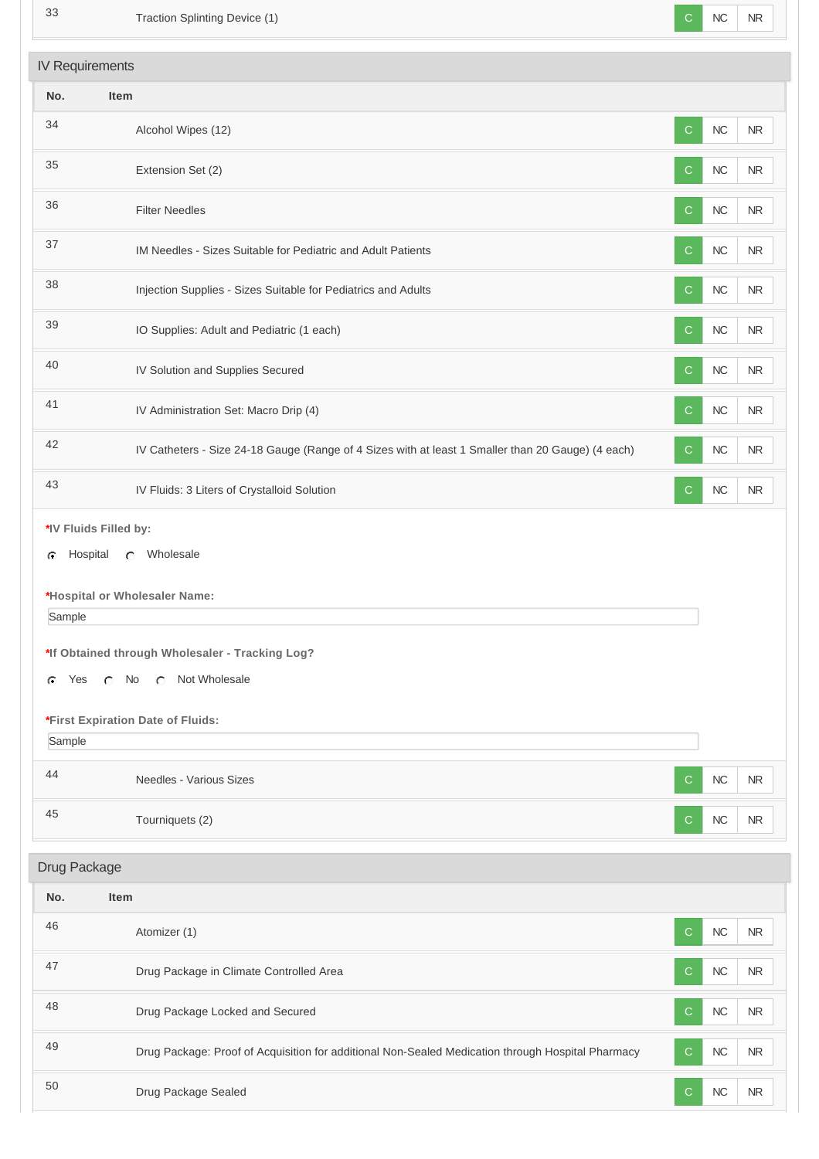| 33           | Traction Splinting Device (1)                                                                     | C            | NC         | <b>NR</b>  |
|--------------|---------------------------------------------------------------------------------------------------|--------------|------------|------------|
|              | <b>IV Requirements</b>                                                                            |              |            |            |
| No.          | Item                                                                                              |              |            |            |
| 34           | Alcohol Wipes (12)                                                                                | $\mathsf{C}$ | <b>NC</b>  | <b>NR</b>  |
| 35           | Extension Set (2)                                                                                 | $\mathbf C$  | $NC$       | $\sf NR$   |
| 36           | <b>Filter Needles</b>                                                                             | C            | <b>NC</b>  | $\sf NR$   |
| 37           | IM Needles - Sizes Suitable for Pediatric and Adult Patients                                      | C            | $NC$       | <b>NR</b>  |
| 38           | Injection Supplies - Sizes Suitable for Pediatrics and Adults                                     | $\mathsf{C}$ | NC         | NR         |
| 39           | IO Supplies: Adult and Pediatric (1 each)                                                         | C            | $NC$       | $\sf NR$   |
| 40           | IV Solution and Supplies Secured                                                                  | C            | $NC$       | $\sf NR$   |
| 41           | IV Administration Set: Macro Drip (4)                                                             | C.           | NC         | ${\sf NR}$ |
| 42           | IV Catheters - Size 24-18 Gauge (Range of 4 Sizes with at least 1 Smaller than 20 Gauge) (4 each) | C            | $NC$       | <b>NR</b>  |
| 43           | IV Fluids: 3 Liters of Crystalloid Solution                                                       | $\mathsf{C}$ | ${\sf NC}$ | ${\sf NR}$ |
|              | *IV Fluids Filled by:                                                                             |              |            |            |
| C            | C Wholesale<br>Hospital                                                                           |              |            |            |
|              | *Hospital or Wholesaler Name:                                                                     |              |            |            |
| Sample       |                                                                                                   |              |            |            |
|              | *If Obtained through Wholesaler - Tracking Log?                                                   |              |            |            |
| Yes<br>G     | C No C Not Wholesale                                                                              |              |            |            |
|              |                                                                                                   |              |            |            |
|              | *First Expiration Date of Fluids:                                                                 |              |            |            |
| Sample       |                                                                                                   |              |            |            |
| 44           | Needles - Various Sizes                                                                           | C            | <b>NC</b>  | NR         |
| 45           | Tourniquets (2)                                                                                   | C.           | NC         | NR.        |
| Drug Package |                                                                                                   |              |            |            |
|              |                                                                                                   |              |            |            |
| No.          | Item                                                                                              |              |            |            |
| 46           | Atomizer (1)                                                                                      | C            | NC         | <b>NR</b>  |
| 47           | Drug Package in Climate Controlled Area                                                           | C            | $NC$       | $\sf NR$   |
| 48           | Drug Package Locked and Secured                                                                   | C            | <b>NC</b>  | <b>NR</b>  |
| 49           | Drug Package: Proof of Acquisition for additional Non-Sealed Medication through Hospital Pharmacy | C            | NC         | <b>NR</b>  |
| 50           | Drug Package Sealed                                                                               | $\mathsf{C}$ | ${\sf NC}$ | ${\sf NR}$ |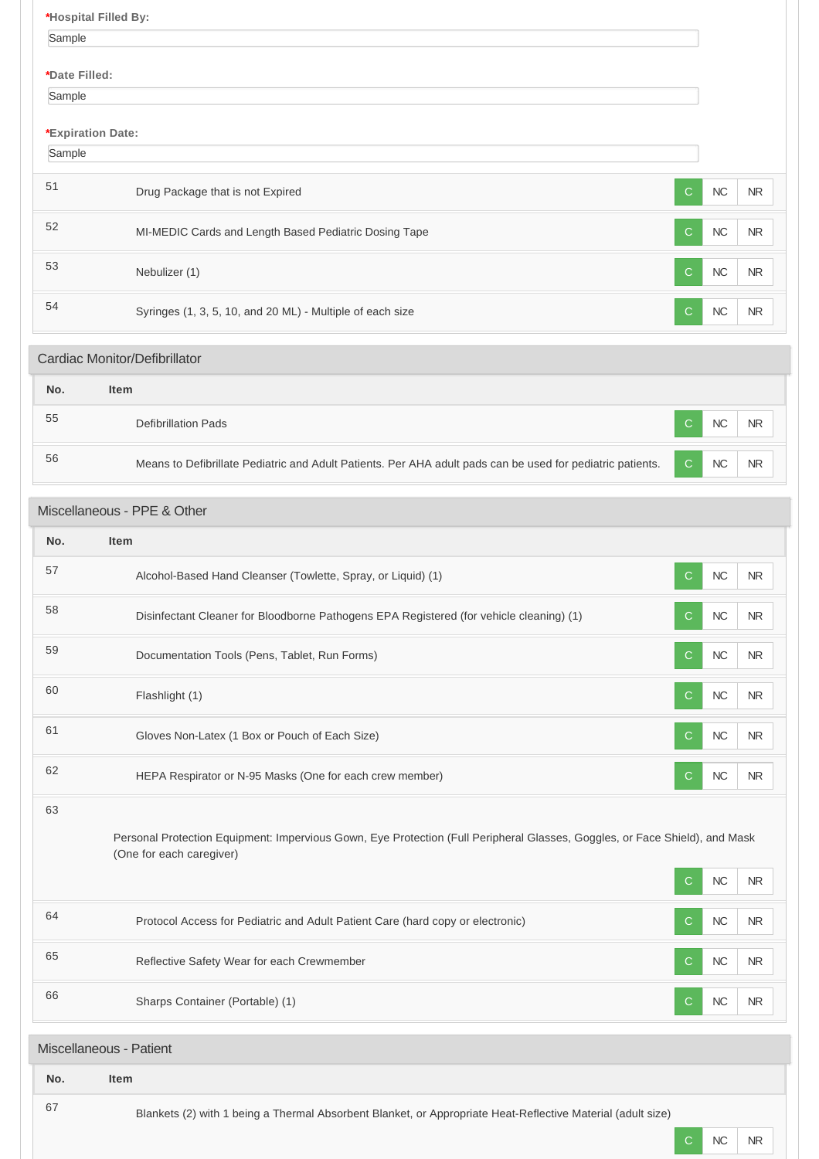**\*Hospital Filled By:** Sample **\*Date Filled:** Sample **\*Expiration Date:** Sample 51 Drug Package that is not Expired C NC NR 52 MI-MEDIC Cards and Length Based Pediatric Dosing Tape C NC NR NR 53 Nebulizer (1) and the set of the set of the set of the set of the set of the set of the set of the set of the set of the set of the set of the set of the set of the set of the set of the set of the set of the set of the 54 Syringes (1, 3, 5, 10, and 20 ML) - Multiple of each size C NC NR NR

# **No. Item** <sup>55</sup> Defibrillation Pads <sup>C</sup> NC NR 56 Means to Defibrillate Pediatric and Adult Patients. Per AHA adult pads can be used for pediatric patients. C NC NR Cardiac Monitor/Defibrillator

# Miscellaneous - PPE & Other

| No. | <b>Item</b>                                                                                                                                                                                |
|-----|--------------------------------------------------------------------------------------------------------------------------------------------------------------------------------------------|
| 57  | Alcohol-Based Hand Cleanser (Towlette, Spray, or Liquid) (1)<br><b>NC</b><br>$\mathsf{C}$<br><b>NR</b>                                                                                     |
| 58  | Disinfectant Cleaner for Bloodborne Pathogens EPA Registered (for vehicle cleaning) (1)<br>NC<br><b>NR</b><br>C                                                                            |
| 59  | NC<br>Documentation Tools (Pens, Tablet, Run Forms)<br><b>NR</b><br>C                                                                                                                      |
| 60  | NC<br><b>NR</b><br>Flashlight (1)<br>C                                                                                                                                                     |
| 61  | Gloves Non-Latex (1 Box or Pouch of Each Size)<br><b>NC</b><br>C<br><b>NR</b>                                                                                                              |
| 62  | NC<br>HEPA Respirator or N-95 Masks (One for each crew member)<br>C<br><b>NR</b>                                                                                                           |
| 63  | Personal Protection Equipment: Impervious Gown, Eye Protection (Full Peripheral Glasses, Goggles, or Face Shield), and Mask<br>(One for each caregiver)<br>NC<br>$\mathsf{C}$<br><b>NR</b> |
| 64  | Protocol Access for Pediatric and Adult Patient Care (hard copy or electronic)<br>NC<br><b>NR</b><br>C.                                                                                    |
| 65  | Reflective Safety Wear for each Crewmember<br>NC<br>C<br><b>NR</b>                                                                                                                         |
| 66  | NC<br>Sharps Container (Portable) (1)<br><b>NR</b><br>С                                                                                                                                    |
|     | Miscellaneous - Patient                                                                                                                                                                    |
| No. | <b>Item</b>                                                                                                                                                                                |
| 67  | Blankets (2) with 1 being a Thermal Absorbent Blanket, or Appropriate Heat-Reflective Material (adult size)                                                                                |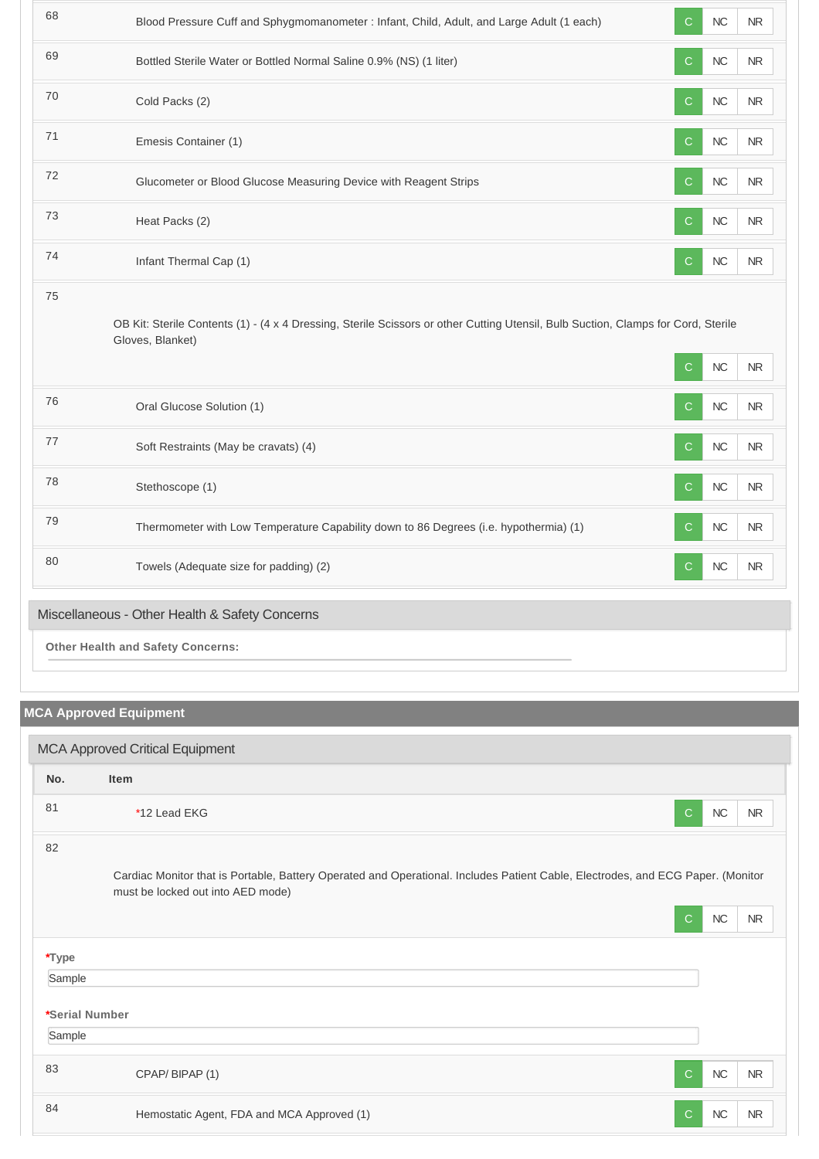| 68                                       | Blood Pressure Cuff and Sphygmomanometer : Infant, Child, Adult, and Large Adult (1 each)                                                             | NC<br>NR<br>С                     |  |  |
|------------------------------------------|-------------------------------------------------------------------------------------------------------------------------------------------------------|-----------------------------------|--|--|
| 69                                       | Bottled Sterile Water or Bottled Normal Saline 0.9% (NS) (1 liter)                                                                                    | $NC$<br>$\mathsf{C}$<br><b>NR</b> |  |  |
| 70                                       | Cold Packs (2)                                                                                                                                        | NC<br><b>NR</b><br>C              |  |  |
| 71                                       | Emesis Container (1)                                                                                                                                  | NC<br><b>NR</b><br>$\mathsf{C}$   |  |  |
| 72                                       | Glucometer or Blood Glucose Measuring Device with Reagent Strips                                                                                      | $NC$<br>NR<br>C                   |  |  |
| 73                                       | Heat Packs (2)                                                                                                                                        | $\mathsf{C}$<br>${\sf NC}$<br>NR  |  |  |
| 74                                       | Infant Thermal Cap (1)                                                                                                                                | $NC$<br>$\mathsf{C}$<br>NR        |  |  |
| 75                                       | OB Kit: Sterile Contents (1) - (4 x 4 Dressing, Sterile Scissors or other Cutting Utensil, Bulb Suction, Clamps for Cord, Sterile<br>Gloves, Blanket) | $NC$<br>$\mathsf{C}$<br>$\sf NR$  |  |  |
| 76                                       | Oral Glucose Solution (1)                                                                                                                             | NC<br>NR<br>$\mathsf{C}$          |  |  |
| 77                                       | Soft Restraints (May be cravats) (4)                                                                                                                  | $\mathsf{C}$<br><b>NC</b><br>NR.  |  |  |
| 78                                       | Stethoscope (1)                                                                                                                                       | NC<br>NR<br>$\mathsf{C}$          |  |  |
| 79                                       | Thermometer with Low Temperature Capability down to 86 Degrees (i.e. hypothermia) (1)                                                                 | NC<br>$\mathsf{C}$<br>NR          |  |  |
| 80                                       | Towels (Adequate size for padding) (2)                                                                                                                | <b>NC</b><br>$\mathsf{C}$<br>NR   |  |  |
|                                          | Miscellaneous - Other Health & Safety Concerns                                                                                                        |                                   |  |  |
| <b>Other Health and Safety Concerns:</b> |                                                                                                                                                       |                                   |  |  |

# **MCA Approved Equipment**

| <b>MCA Approved Critical Equipment</b> |                                                                                                                                                                      |                      |           |  |
|----------------------------------------|----------------------------------------------------------------------------------------------------------------------------------------------------------------------|----------------------|-----------|--|
| No.                                    | <b>Item</b>                                                                                                                                                          |                      |           |  |
| 81                                     | *12 Lead EKG                                                                                                                                                         | $NC$<br>$\mathsf{C}$ | <b>NR</b> |  |
| 82                                     | Cardiac Monitor that is Portable, Battery Operated and Operational. Includes Patient Cable, Electrodes, and ECG Paper. (Monitor<br>must be locked out into AED mode) |                      |           |  |
|                                        |                                                                                                                                                                      | $NC$<br>$\mathsf{C}$ | <b>NR</b> |  |
| *Type                                  |                                                                                                                                                                      |                      |           |  |
| Sample                                 |                                                                                                                                                                      |                      |           |  |
| *Serial Number                         |                                                                                                                                                                      |                      |           |  |
| Sample                                 |                                                                                                                                                                      |                      |           |  |
| 83                                     | CPAP/BIPAP(1)                                                                                                                                                        | $NC$<br>$\mathsf{C}$ | <b>NR</b> |  |
| 84                                     | Hemostatic Agent, FDA and MCA Approved (1)                                                                                                                           | $NC$<br>$\mathsf{C}$ | <b>NR</b> |  |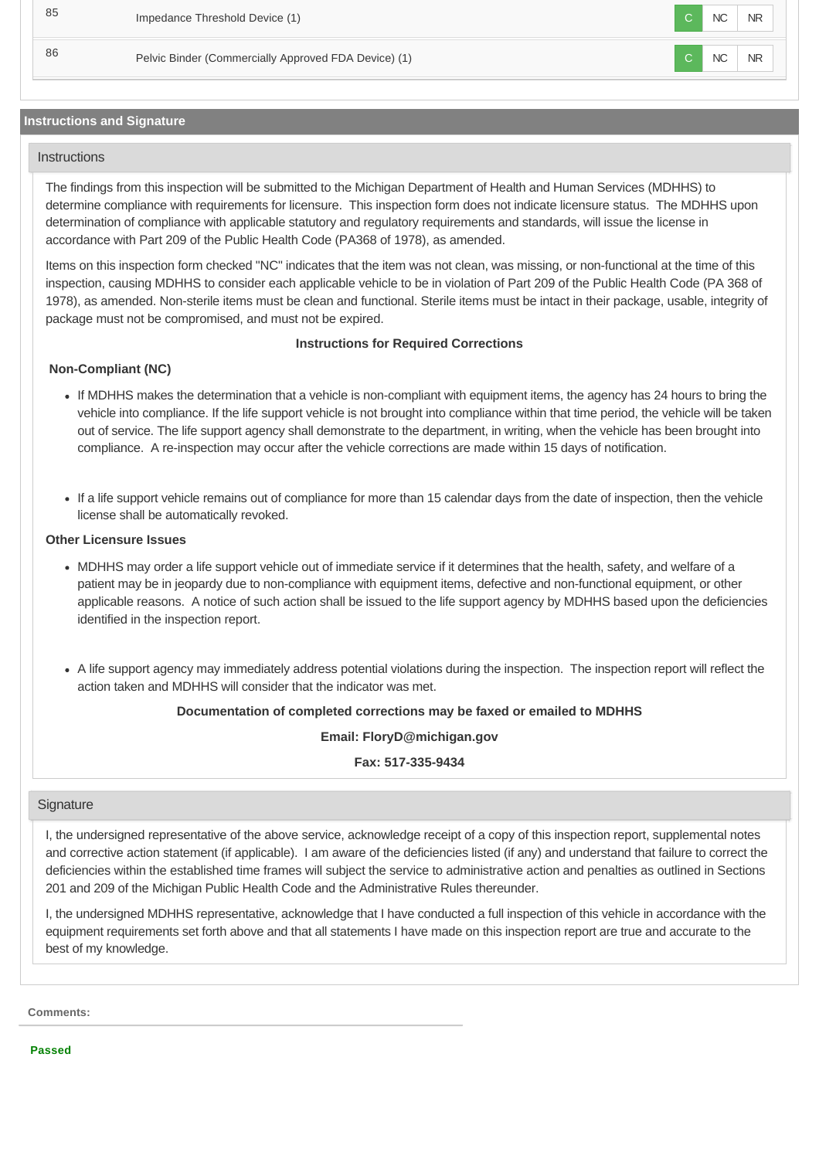85 Impedance Threshold Device (1) C NC NR 86 Pelvic Binder (Commercially Approved FDA Device) (1) C NC NR

# **Instructions and Signature**

### **Instructions**

The findings from this inspection will be submitted to the Michigan Department of Health and Human Services (MDHHS) to determine compliance with requirements for licensure. This inspection form does not indicate licensure status. The MDHHS upon determination of compliance with applicable statutory and regulatory requirements and standards, will issue the license in accordance with Part 209 of the Public Health Code (PA368 of 1978), as amended.

Items on this inspection form checked "NC" indicates that the item was not clean, was missing, or non-functional at the time of this inspection, causing MDHHS to consider each applicable vehicle to be in violation of Part 209 of the Public Health Code (PA 368 of 1978), as amended. Non-sterile items must be clean and functional. Sterile items must be intact in their package, usable, integrity of package must not be compromised, and must not be expired.

### **Instructions for Required Corrections**

# **Non-Compliant (NC)**

- If MDHHS makes the determination that a vehicle is non-compliant with equipment items, the agency has 24 hours to bring the vehicle into compliance. If the life support vehicle is not brought into compliance within that time period, the vehicle will be taken out of service. The life support agency shall demonstrate to the department, in writing, when the vehicle has been brought into compliance. A re-inspection may occur after the vehicle corrections are made within 15 days of notification.
- If a life support vehicle remains out of compliance for more than 15 calendar days from the date of inspection, then the vehicle license shall be automatically revoked.

#### **Other Licensure Issues**

- MDHHS may order a life support vehicle out of immediate service if it determines that the health, safety, and welfare of a patient may be in jeopardy due to non-compliance with equipment items, defective and non-functional equipment, or other applicable reasons. A notice of such action shall be issued to the life support agency by MDHHS based upon the deficiencies identified in the inspection report.
- A life support agency may immediately address potential violations during the inspection. The inspection report will reflect the action taken and MDHHS will consider that the indicator was met.

#### **Documentation of completed corrections may be faxed or emailed to MDHHS**

**Email: FloryD@michigan.gov**

**Fax: 517-335-9434**

#### **Signature**

I, the undersigned representative of the above service, acknowledge receipt of a copy of this inspection report, supplemental notes and corrective action statement (if applicable). I am aware of the deficiencies listed (if any) and understand that failure to correct the deficiencies within the established time frames will subject the service to administrative action and penalties as outlined in Sections 201 and 209 of the Michigan Public Health Code and the Administrative Rules thereunder.

I, the undersigned MDHHS representative, acknowledge that I have conducted a full inspection of this vehicle in accordance with the equipment requirements set forth above and that all statements I have made on this inspection report are true and accurate to the best of my knowledge.

**Comments:**

**Passed**